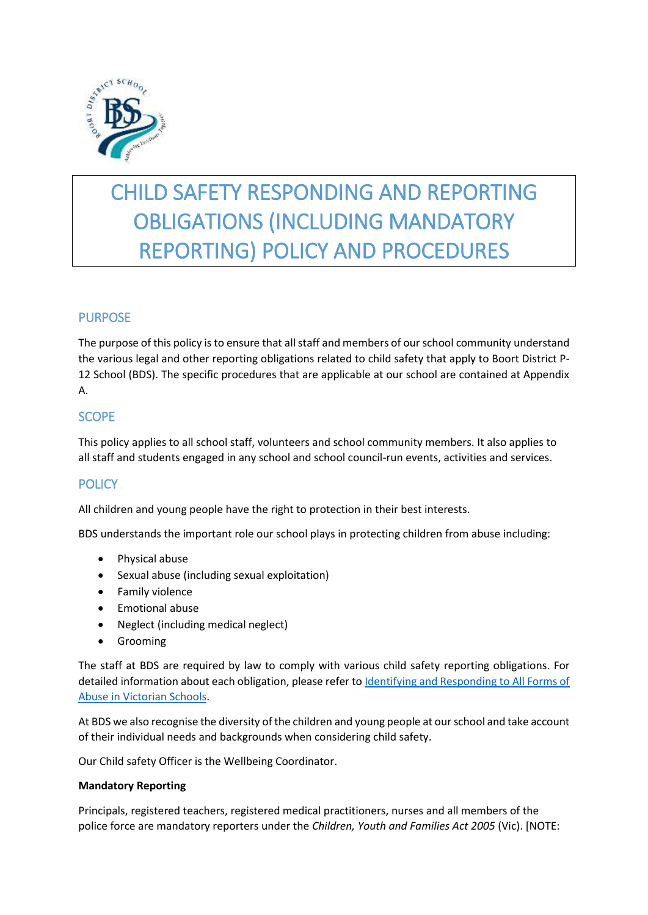

# CHILD SAFETY RESPONDING AND REPORTING OBLIGATIONS (INCLUDING MANDATORY REPORTING) POLICY AND PROCEDURES

# PURPOSE

The purpose of this policy is to ensure that all staff and members of our school community understand the various legal and other reporting obligations related to child safety that apply to Boort District P-12 School (BDS). The specific procedures that are applicable at our school are contained at Appendix A.

# **SCOPE**

This policy applies to all school staff, volunteers and school community members. It also applies to all staff and students engaged in any school and school council-run events, activities and services.

# **POLICY**

All children and young people have the right to protection in their best interests.

BDS understands the important role our school plays in protecting children from abuse including:

- Physical abuse
- Sexual abuse (including sexual exploitation)
- **•** Family violence
- **•** Emotional abuse
- Neglect (including medical neglect)
- **•** Grooming

The staff at BDS are required by law to comply with various child safety reporting obligations. For detailed information about each obligation, please refer to *Identifying and Responding to All Forms of* [Abuse in Victorian Schools.](https://www.education.vic.gov.au/Documents/about/programs/health/protect/ChildSafeStandard5_SchoolsGuide.pdf)

At BDS we also recognise the diversity of the children and young people at our school and take account of their individual needs and backgrounds when considering child safety.

Our Child safety Officer is the Wellbeing Coordinator.

#### **Mandatory Reporting**

Principals, registered teachers, registered medical practitioners, nurses and all members of the police force are mandatory reporters under the *Children, Youth and Families Act 2005* (Vic). [NOTE: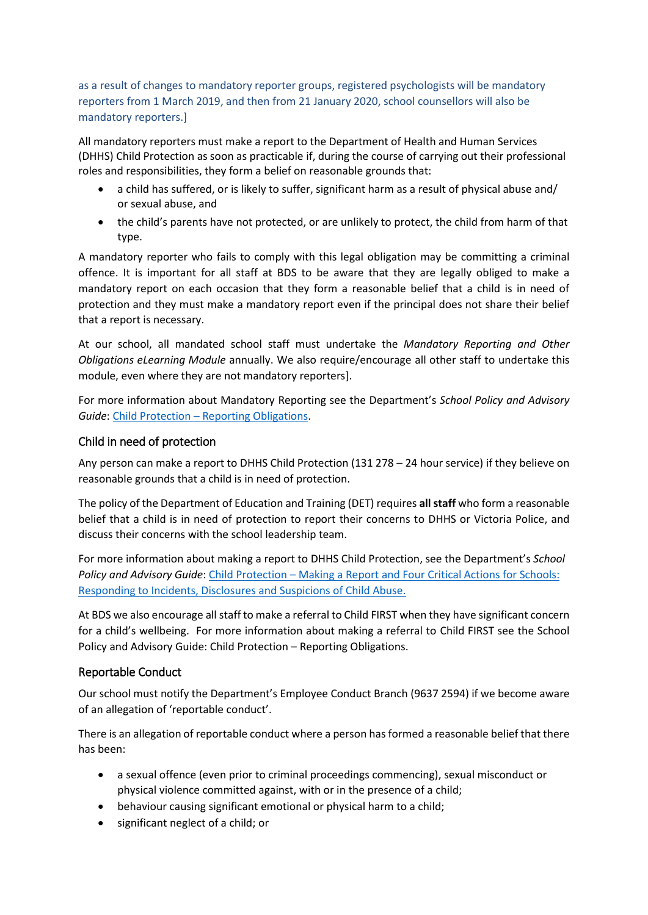## as a result of changes to mandatory reporter groups, registered psychologists will be mandatory reporters from 1 March 2019, and then from 21 January 2020, school counsellors will also be mandatory reporters.]

All mandatory reporters must make a report to the Department of Health and Human Services (DHHS) Child Protection as soon as practicable if, during the course of carrying out their professional roles and responsibilities, they form a belief on reasonable grounds that:

- a child has suffered, or is likely to suffer, significant harm as a result of physical abuse and/ or sexual abuse, and
- the child's parents have not protected, or are unlikely to protect, the child from harm of that type.

A mandatory reporter who fails to comply with this legal obligation may be committing a criminal offence. It is important for all staff at BDS to be aware that they are legally obliged to make a mandatory report on each occasion that they form a reasonable belief that a child is in need of protection and they must make a mandatory report even if the principal does not share their belief that a report is necessary.

At our school, all mandated school staff must undertake the *Mandatory Reporting and Other Obligations eLearning Module* annually. We also require/encourage all other staff to undertake this module, even where they are not mandatory reporters].

For more information about Mandatory Reporting see the Department's *School Policy and Advisory Guide*: Child Protection – [Reporting Obligations.](http://www.education.vic.gov.au/school/principals/spag/safety/Pages/childprotectobligation.aspx)

## Child in need of protection

Any person can make a report to DHHS Child Protection (131 278 – 24 hour service) if they believe on reasonable grounds that a child is in need of protection.

The policy of the Department of Education and Training (DET) requires **all staff** who form a reasonable belief that a child is in need of protection to report their concerns to DHHS or Victoria Police, and discuss their concerns with the school leadership team.

For more information about making a report to DHHS Child Protection, see the Department's *School Policy and Advisory Guide*: [Child Protection](http://www.education.vic.gov.au/school/principals/spag/safety/Pages/childprotectreporting.aspx) – Making a Report and [Four Critical Actions for Schools:](https://www.education.vic.gov.au/Documents/about/programs/health/protect/FourCriticalActions_ChildAbuse.pdf)  [Responding to Incidents, Disclosures and Suspicions of Child Abuse.](https://www.education.vic.gov.au/Documents/about/programs/health/protect/FourCriticalActions_ChildAbuse.pdf)

At BDS we also encourage all staff to make a referral to Child FIRST when they have significant concern for a child's wellbeing. For more information about making a referral to Child FIRST see the School Policy and Advisory Guide: Child Protection – [Reporting Obligations.](https://www.education.vic.gov.au/school/principals/spag/safety/Pages/childprotectobligation.aspx)

## Reportable Conduct

Our school must notify the Department's Employee Conduct Branch (9637 2594) if we become aware of an allegation of 'reportable conduct'.

There is an allegation of reportable conduct where a person has formed a reasonable belief that there has been:

- a sexual offence (even prior to criminal proceedings commencing), sexual misconduct or physical violence committed against, with or in the presence of a child;
- behaviour causing significant emotional or physical harm to a child;
- significant neglect of a child; or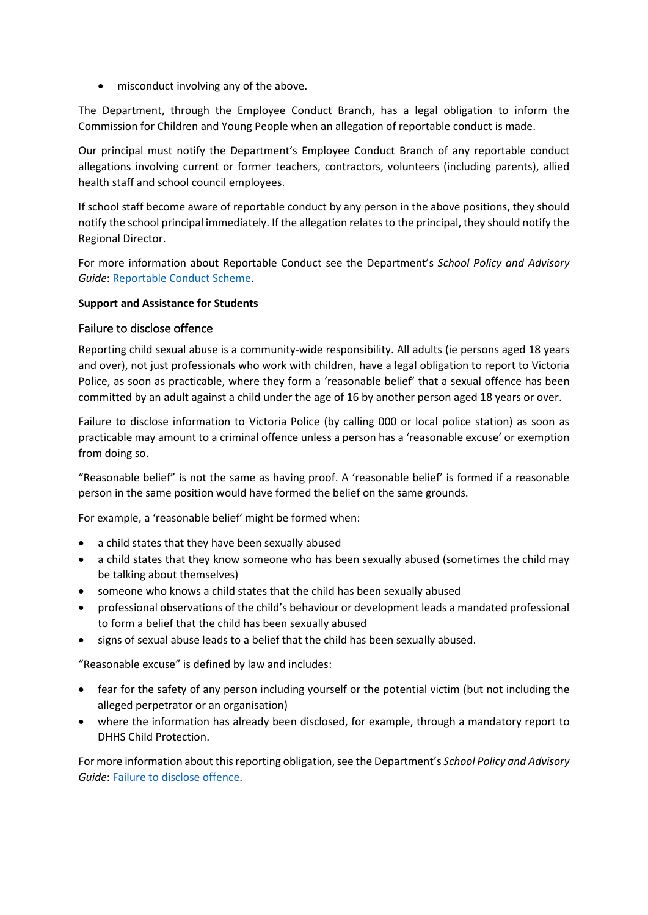misconduct involving any of the above.

The Department, through the Employee Conduct Branch, has a legal obligation to inform the Commission for Children and Young People when an allegation of reportable conduct is made.

Our principal must notify the Department's Employee Conduct Branch of any reportable conduct allegations involving current or former teachers, contractors, volunteers (including parents), allied health staff and school council employees.

If school staff become aware of reportable conduct by any person in the above positions, they should notify the school principal immediately. If the allegation relates to the principal, they should notify the Regional Director.

For more information about Reportable Conduct see the Department's *School Policy and Advisory Guide*: [Reportable Conduct Scheme.](http://www.education.vic.gov.au/school/principals/spag/safety/Pages/reportableconductscheme.aspx)

## **Support and Assistance for Students**

## Failure to disclose offence

Reporting child sexual abuse is a community-wide responsibility. All adults (ie persons aged 18 years and over), not just professionals who work with children, have a legal obligation to report to Victoria Police, as soon as practicable, where they form a 'reasonable belief' that a sexual offence has been committed by an adult against a child under the age of 16 by another person aged 18 years or over.

Failure to disclose information to Victoria Police (by calling 000 or local police station) as soon as practicable may amount to a criminal offence unless a person has a 'reasonable excuse' or exemption from doing so.

"Reasonable belief" is not the same as having proof. A 'reasonable belief' is formed if a reasonable person in the same position would have formed the belief on the same grounds.

For example, a 'reasonable belief' might be formed when:

- a child states that they have been sexually abused
- a child states that they know someone who has been sexually abused (sometimes the child may be talking about themselves)
- someone who knows a child states that the child has been sexually abused
- professional observations of the child's behaviour or development leads a mandated professional to form a belief that the child has been sexually abused
- signs of sexual abuse leads to a belief that the child has been sexually abused.

"Reasonable excuse" is defined by law and includes:

- fear for the safety of any person including yourself or the potential victim (but not including the alleged perpetrator or an organisation)
- where the information has already been disclosed, for example, through a mandatory report to DHHS Child Protection.

For more information about this reporting obligation, see the Department's *School Policy and Advisory Guide*[: Failure to disclose offence.](http://www.education.vic.gov.au/school/principals/spag/safety/Pages/childprotectobligation.aspx)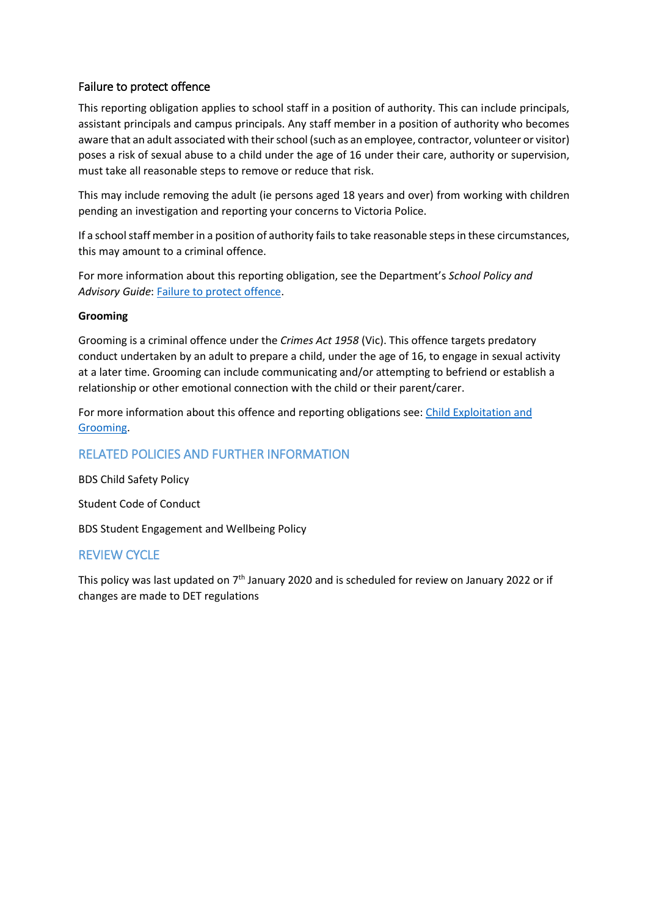# Failure to protect offence

This reporting obligation applies to school staff in a position of authority. This can include principals, assistant principals and campus principals. Any staff member in a position of authority who becomes aware that an adult associated with their school (such as an employee, contractor, volunteer or visitor) poses a risk of sexual abuse to a child under the age of 16 under their care, authority or supervision, must take all reasonable steps to remove or reduce that risk.

This may include removing the adult (ie persons aged 18 years and over) from working with children pending an investigation and reporting your concerns to Victoria Police.

If a school staff member in a position of authority fails to take reasonable steps in these circumstances, this may amount to a criminal offence.

For more information about this reporting obligation, see the Department's *School Policy and Advisory Guide*: [Failure to protect offence.](http://www.education.vic.gov.au/school/principals/spag/safety/Pages/childprotectobligation.aspx)

## **Grooming**

Grooming is a criminal offence under the *Crimes Act 1958* (Vic). This offence targets predatory conduct undertaken by an adult to prepare a child, under the age of 16, to engage in sexual activity at a later time. Grooming can include communicating and/or attempting to befriend or establish a relationship or other emotional connection with the child or their parent/carer.

For more information about this offence and reporting obligations see: [Child Exploitation and](https://www.education.vic.gov.au/school/teachers/health/childprotection/Pages/expolitationgrooming.aspx)  [Grooming.](https://www.education.vic.gov.au/school/teachers/health/childprotection/Pages/expolitationgrooming.aspx)

## RELATED POLICIES AND FURTHER INFORMATION

BDS Child Safety Policy

Student Code of Conduct

BDS Student Engagement and Wellbeing Policy

# REVIEW CYCLE

This policy was last updated on 7<sup>th</sup> January 2020 and is scheduled for review on January 2022 or if changes are made to DET regulations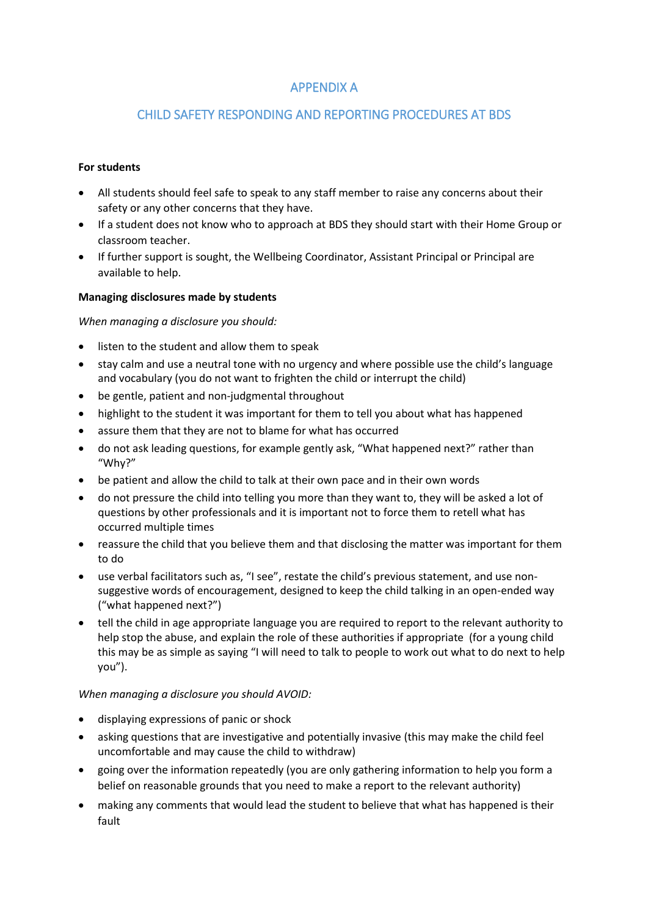# APPENDIX A

# CHILD SAFETY RESPONDING AND REPORTING PROCEDURES AT BDS

#### **For students**

- All students should feel safe to speak to any staff member to raise any concerns about their safety or any other concerns that they have.
- If a student does not know who to approach at BDS they should start with their Home Group or classroom teacher.
- If further support is sought, the Wellbeing Coordinator, Assistant Principal or Principal are available to help.

#### **Managing disclosures made by students**

#### *When managing a disclosure you should:*

- listen to the student and allow them to speak
- stay calm and use a neutral tone with no urgency and where possible use the child's language and vocabulary (you do not want to frighten the child or interrupt the child)
- be gentle, patient and non-judgmental throughout
- highlight to the student it was important for them to tell you about what has happened
- assure them that they are not to blame for what has occurred
- do not ask leading questions, for example gently ask, "What happened next?" rather than "Why?"
- be patient and allow the child to talk at their own pace and in their own words
- do not pressure the child into telling you more than they want to, they will be asked a lot of questions by other professionals and it is important not to force them to retell what has occurred multiple times
- reassure the child that you believe them and that disclosing the matter was important for them to do
- use verbal facilitators such as, "I see", restate the child's previous statement, and use nonsuggestive words of encouragement, designed to keep the child talking in an open-ended way ("what happened next?")
- tell the child in age appropriate language you are required to report to the relevant authority to help stop the abuse, and explain the role of these authorities if appropriate (for a young child this may be as simple as saying "I will need to talk to people to work out what to do next to help you").

#### *When managing a disclosure you should AVOID:*

- displaying expressions of panic or shock
- asking questions that are investigative and potentially invasive (this may make the child feel uncomfortable and may cause the child to withdraw)
- going over the information repeatedly (you are only gathering information to help you form a belief on reasonable grounds that you need to make a report to the relevant authority)
- making any comments that would lead the student to believe that what has happened is their fault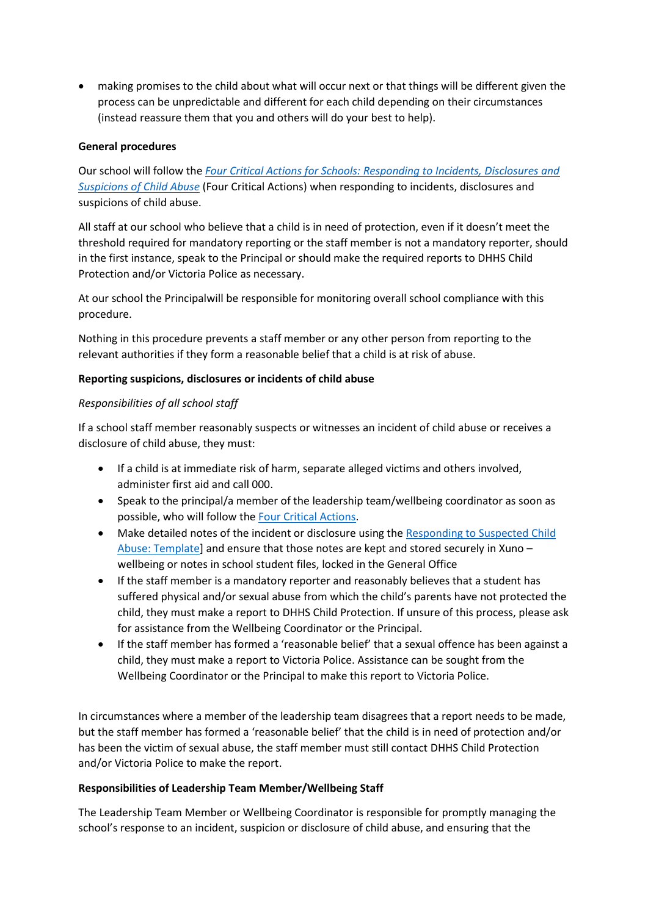making promises to the child about what will occur next or that things will be different given the process can be unpredictable and different for each child depending on their circumstances (instead reassure them that you and others will do your best to help).

### **General procedures**

Our school will follow the *[Four Critical Actions for Schools: Responding to Incidents, Disclosures and](https://www.education.vic.gov.au/Documents/about/programs/health/protect/FourCriticalActions_ChildAbuse.pdf)  [Suspicions of Child Abuse](https://www.education.vic.gov.au/Documents/about/programs/health/protect/FourCriticalActions_ChildAbuse.pdf)* (Four Critical Actions) when responding to incidents, disclosures and suspicions of child abuse.

All staff at our school who believe that a child is in need of protection, even if it doesn't meet the threshold required for mandatory reporting or the staff member is not a mandatory reporter, should in the first instance, speak to the Principal or should make the required reports to DHHS Child Protection and/or Victoria Police as necessary.

At our school the Principalwill be responsible for monitoring overall school compliance with this procedure.

Nothing in this procedure prevents a staff member or any other person from reporting to the relevant authorities if they form a reasonable belief that a child is at risk of abuse.

#### **Reporting suspicions, disclosures or incidents of child abuse**

## *Responsibilities of all school staff*

If a school staff member reasonably suspects or witnesses an incident of child abuse or receives a disclosure of child abuse, they must:

- If a child is at immediate risk of harm, separate alleged victims and others involved, administer first aid and call 000.
- Speak to the principal/a member of the leadership team/wellbeing coordinator as soon as possible, who will follow the [Four Critical Actions.](https://www.education.vic.gov.au/Documents/about/programs/health/protect/FourCriticalActions_ChildAbuse.pdf)
- Make detailed notes of the incident or disclosure using the [Responding to Suspected Child](https://www.education.vic.gov.au/Documents/about/programs/health/protect/PROTECT_Schoolstemplate.pdf)  [Abuse: Template\]](https://www.education.vic.gov.au/Documents/about/programs/health/protect/PROTECT_Schoolstemplate.pdf) and ensure that those notes are kept and stored securely in Xuno – wellbeing or notes in school student files, locked in the General Office
- If the staff member is a mandatory reporter and reasonably believes that a student has suffered physical and/or sexual abuse from which the child's parents have not protected the child, they must make a report to DHHS Child Protection. If unsure of this process, please ask for assistance from the Wellbeing Coordinator or the Principal.
- If the staff member has formed a 'reasonable belief' that a sexual offence has been against a child, they must make a report to Victoria Police. Assistance can be sought from the Wellbeing Coordinator or the Principal to make this report to Victoria Police.

In circumstances where a member of the leadership team disagrees that a report needs to be made, but the staff member has formed a 'reasonable belief' that the child is in need of protection and/or has been the victim of sexual abuse, the staff member must still contact DHHS Child Protection and/or Victoria Police to make the report.

#### **Responsibilities of Leadership Team Member/Wellbeing Staff**

The Leadership Team Member or Wellbeing Coordinator is responsible for promptly managing the school's response to an incident, suspicion or disclosure of child abuse, and ensuring that the